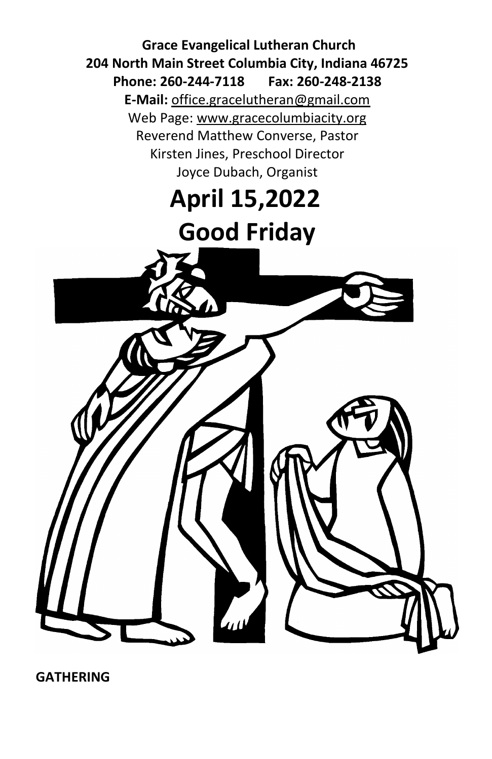

**GATHERING**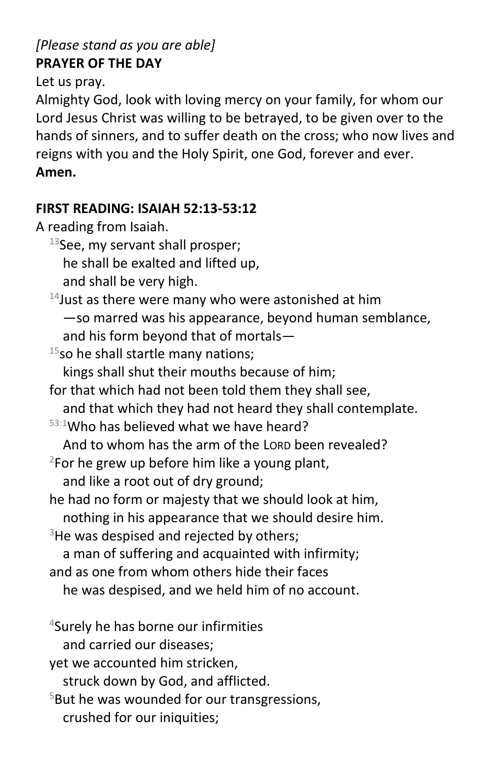## *[Please stand as you are able]* **PRAYER OF THE DAY**

Let us pray.

Almighty God, look with loving mercy on your family, for whom our Lord Jesus Christ was willing to be betrayed, to be given over to the hands of sinners, and to suffer death on the cross; who now lives and reigns with you and the Holy Spirit, one God, forever and ever. **Amen.**

### **FIRST READING: ISAIAH 52:13-53:12**

A reading from Isaiah.

 $13$ See, my servant shall prosper;

he shall be exalted and lifted up,

and shall be very high.

 $14$  Just as there were many who were astonished at him —so marred was his appearance, beyond human semblance, and his form beyond that of mortals—

 $15$ so he shall startle many nations; kings shall shut their mouths because of him;

for that which had not been told them they shall see,

and that which they had not heard they shall contemplate.

 $53:1$ Who has believed what we have heard?

And to whom has the arm of the LORD been revealed?

 $2$ For he grew up before him like a young plant, and like a root out of dry ground;

he had no form or majesty that we should look at him,

nothing in his appearance that we should desire him.

 $3$ He was despised and rejected by others;

a man of suffering and acquainted with infirmity;

and as one from whom others hide their faces

he was despised, and we held him of no account.

<sup>4</sup>Surely he has borne our infirmities

and carried our diseases;

yet we accounted him stricken,

struck down by God, and afflicted.

 $5$ But he was wounded for our transgressions, crushed for our iniquities;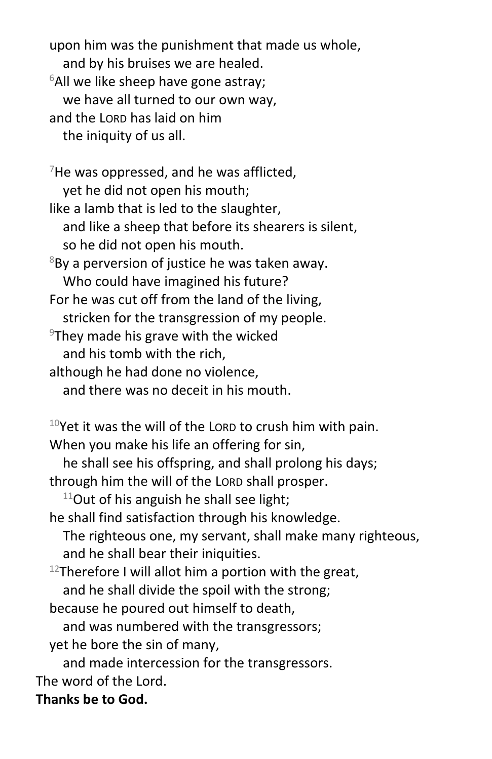upon him was the punishment that made us whole, and by his bruises we are healed.  $6$ All we like sheep have gone astray; we have all turned to our own way, and the LORD has laid on him the iniquity of us all.

 $7$ He was oppressed, and he was afflicted, yet he did not open his mouth; like a lamb that is led to the slaughter, and like a sheep that before its shearers is silent, so he did not open his mouth.  $8By$  a perversion of justice he was taken away. Who could have imagined his future? For he was cut off from the land of the living, stricken for the transgression of my people.  $9$ They made his grave with the wicked and his tomb with the rich, although he had done no violence, and there was no deceit in his mouth.

 $10$ Yet it was the will of the LORD to crush him with pain. When you make his life an offering for sin,

he shall see his offspring, and shall prolong his days; through him the will of the LORD shall prosper.

 $11$ Out of his anguish he shall see light;

- he shall find satisfaction through his knowledge. The righteous one, my servant, shall make many righteous, and he shall bear their iniquities.
- <sup>12</sup>Therefore I will allot him a portion with the great, and he shall divide the spoil with the strong;
- because he poured out himself to death,

and was numbered with the transgressors;

yet he bore the sin of many,

and made intercession for the transgressors.

The word of the Lord.

## **Thanks be to God.**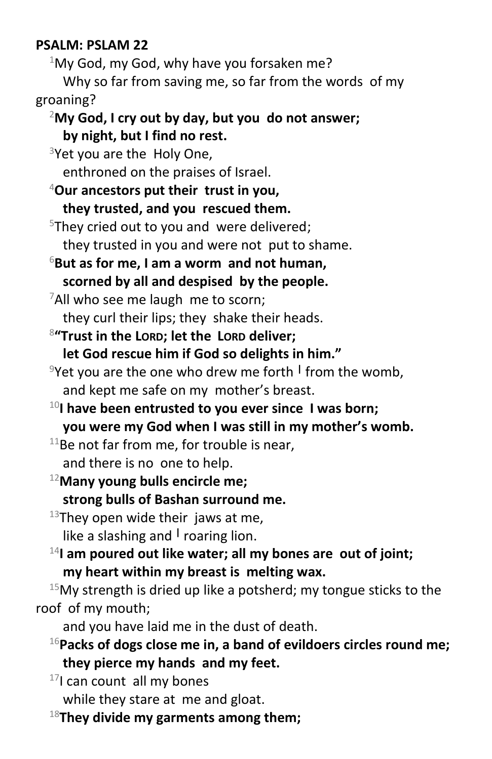#### **PSALM: PSLAM 22**

 $1$ My God, my God, why have you forsaken me? Why so far from saving me, so far from the words of my

groaning?

### <sup>2</sup>**My God, I cry out by day, but you do not answer; by night, but I find no rest.**

 $3$ Yet you are the Holy One, enthroned on the praises of Israel.

<sup>4</sup>**Our ancestors put their trust in you, they trusted, and you rescued them.**

 $5$ They cried out to you and were delivered; they trusted in you and were not put to shame.

<sup>6</sup>**But as for me, I am a worm and not human, scorned by all and despised by the people.**

 $7$ All who see me laugh me to scorn;

they curl their lips; they shake their heads.

8 **"Trust in the LORD; let the LORD deliver;**

**let God rescue him if God so delights in him."**

- <sup>9</sup>Yet you are the one who drew me forth **<sup>|</sup>** from the womb, and kept me safe on my mother's breast.
- <sup>10</sup>**I have been entrusted to you ever since I was born; you were my God when I was still in my mother's womb.**

 $11$ Be not far from me, for trouble is near, and there is no one to help.

<sup>12</sup>**Many young bulls encircle me; strong bulls of Bashan surround me.**

 $13$ They open wide their jaws at me, like a slashing and **<sup>|</sup>** roaring lion.

<sup>14</sup>I am poured out like water; all my bones are out of joint; **my heart within my breast is melting wax.**

 $15$ My strength is dried up like a potsherd; my tongue sticks to the roof of my mouth;

and you have laid me in the dust of death.

<sup>16</sup>**Packs of dogs close me in, a band of evildoers circles round me; they pierce my hands and my feet.**

<sup>17</sup>I can count all my bones

while they stare at me and gloat.

18**They divide my garments among them;**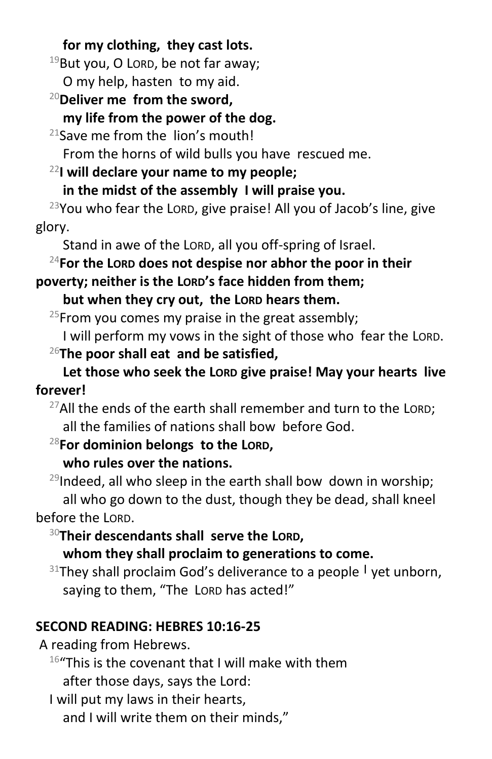**for my clothing, they cast lots.**

 $19$ But you, O LORD, be not far away;

O my help, hasten to my aid.

<sup>20</sup>**Deliver me from the sword,**

**my life from the power of the dog.**

 $21$ Save me from the lion's mouth!

From the horns of wild bulls you have rescued me.

<sup>22</sup>**I will declare your name to my people;**

**in the midst of the assembly I will praise you.**

 $23$ You who fear the LORD, give praise! All you of Jacob's line, give glory.

Stand in awe of the LORD, all you off-spring of Israel.

<sup>24</sup>**For the LORD does not despise nor abhor the poor in their** 

**poverty; neither is the LORD's face hidden from them;**

**but when they cry out, the LORD hears them.**

<sup>25</sup>From you comes my praise in the great assembly;

I will perform my vows in the sight of those who fear the LORD.

<sup>26</sup>**The poor shall eat and be satisfied,**

**Let those who seek the LORD give praise! May your hearts live forever!**

 $27$ All the ends of the earth shall remember and turn to the LORD; all the families of nations shall bow before God.

<sup>28</sup>**For dominion belongs to the LORD,**

## **who rules over the nations.**

 $29$ Indeed, all who sleep in the earth shall bow down in worship; all who go down to the dust, though they be dead, shall kneel before the LORD.

<sup>30</sup>**Their descendants shall serve the LORD,**

**whom they shall proclaim to generations to come.**

<sup>31</sup>They shall proclaim God's deliverance to a people **<sup>|</sup>** yet unborn, saying to them, "The LORD has acted!"

# **SECOND READING: HEBRES 10:16-25**

A reading from Hebrews.

 $16$ "This is the covenant that I will make with them after those days, says the Lord:

I will put my laws in their hearts,

and I will write them on their minds,"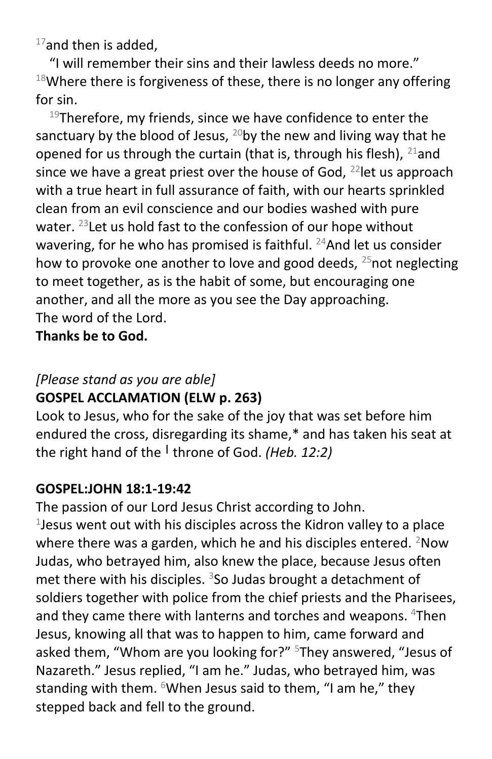$17$ and then is added,

"I will remember their sins and their lawless deeds no more."  $18$ Where there is forgiveness of these, there is no longer any offering for sin.

<sup>19</sup>Therefore, my friends, since we have confidence to enter the sanctuary by the blood of Jesus,  $^{20}$ by the new and living way that he opened for us through the curtain (that is, through his flesh),  $^{21}$ and since we have a great priest over the house of God,  $^{22}$  let us approach with a true heart in full assurance of faith, with our hearts sprinkled clean from an evil conscience and our bodies washed with pure water. <sup>23</sup> Let us hold fast to the confession of our hope without wavering, for he who has promised is faithful.  $24$ And let us consider how to provoke one another to love and good deeds,  $25$  not neglecting to meet together, as is the habit of some, but encouraging one another, and all the more as you see the Day approaching. The word of the Lord.

**Thanks be to God.**

## *[Please stand as you are able]* **GOSPEL ACCLAMATION (ELW p. 263)**

Look to Jesus, who for the sake of the joy that was set before him endured the cross, disregarding its shame,\* and has taken his seat at the right hand of the **<sup>|</sup>** throne of God. *(Heb. 12:2)*

## **GOSPEL:JOHN 18:1-19:42**

The passion of our Lord Jesus Christ according to John. 1 Jesus went out with his disciples across the Kidron valley to a place where there was a garden, which he and his disciples entered.  $2Now$ Judas, who betrayed him, also knew the place, because Jesus often met there with his disciples.  $3$ So Judas brought a detachment of soldiers together with police from the chief priests and the Pharisees, and they came there with lanterns and torches and weapons. <sup>4</sup>Then Jesus, knowing all that was to happen to him, came forward and asked them, "Whom are you looking for?" <sup>5</sup>They answered, "Jesus of Nazareth." Jesus replied, "I am he." Judas, who betrayed him, was standing with them.  $6$ When Jesus said to them, "I am he," they stepped back and fell to the ground.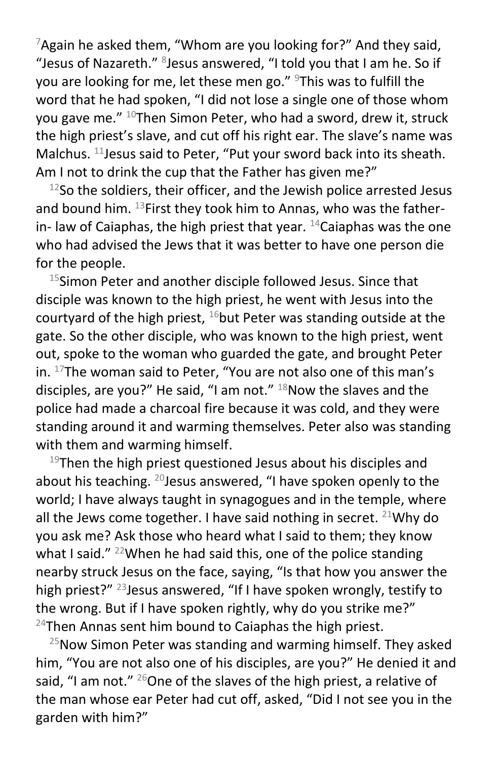$7$ Again he asked them, "Whom are you looking for?" And they said, "Jesus of Nazareth." <sup>8</sup>Jesus answered, "I told you that I am he. So if you are looking for me, let these men go." <sup>9</sup>This was to fulfill the word that he had spoken, "I did not lose a single one of those whom you gave me. $"$  <sup>10</sup>Then Simon Peter, who had a sword, drew it, struck the high priest's slave, and cut off his right ear. The slave's name was Malchus. <sup>11</sup> Jesus said to Peter, "Put your sword back into its sheath. Am I not to drink the cup that the Father has given me?"

 $12$ So the soldiers, their officer, and the Jewish police arrested Jesus and bound him.  $^{13}$ First they took him to Annas, who was the fatherin- law of Caiaphas, the high priest that year.  $^{14}$ Caiaphas was the one who had advised the Jews that it was better to have one person die for the people.

<sup>15</sup>Simon Peter and another disciple followed Jesus. Since that disciple was known to the high priest, he went with Jesus into the courtyard of the high priest,  $16$  but Peter was standing outside at the gate. So the other disciple, who was known to the high priest, went out, spoke to the woman who guarded the gate, and brought Peter in. <sup>17</sup>The woman said to Peter, "You are not also one of this man's disciples, are you?" He said, "I am not."  $18$ Now the slaves and the police had made a charcoal fire because it was cold, and they were standing around it and warming themselves. Peter also was standing with them and warming himself.

 $19$ Then the high priest questioned Jesus about his disciples and about his teaching.  $^{20}$  Jesus answered, "I have spoken openly to the world; I have always taught in synagogues and in the temple, where all the Jews come together. I have said nothing in secret. <sup>21</sup>Why do you ask me? Ask those who heard what I said to them; they know what I said." <sup>22</sup>When he had said this, one of the police standing nearby struck Jesus on the face, saying, "Is that how you answer the high priest?"<sup>23</sup> Jesus answered, "If I have spoken wrongly, testify to the wrong. But if I have spoken rightly, why do you strike me?"  $24$ Then Annas sent him bound to Caiaphas the high priest.

 $25$ Now Simon Peter was standing and warming himself. They asked him, "You are not also one of his disciples, are you?" He denied it and said, "I am not."  $^{26}$ One of the slaves of the high priest, a relative of the man whose ear Peter had cut off, asked, "Did I not see you in the garden with him?"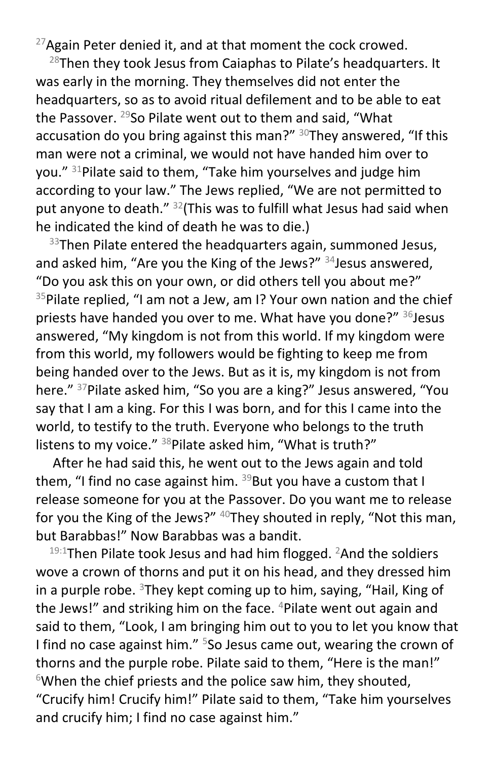$27$ Again Peter denied it, and at that moment the cock crowed.

 $28$ Then they took Jesus from Caiaphas to Pilate's headquarters. It was early in the morning. They themselves did not enter the headquarters, so as to avoid ritual defilement and to be able to eat the Passover.  $29$ So Pilate went out to them and said, "What accusation do you bring against this man?"  $30$ They answered, "If this man were not a criminal, we would not have handed him over to you." <sup>31</sup>Pilate said to them, "Take him yourselves and judge him according to your law." The Jews replied, "We are not permitted to put anyone to death." <sup>32</sup>(This was to fulfill what Jesus had said when he indicated the kind of death he was to die.)

 $33$ Then Pilate entered the headquarters again, summoned Jesus, and asked him, "Are you the King of the Jews?" <sup>34</sup>Jesus answered, "Do you ask this on your own, or did others tell you about me?"  $35$ Pilate replied, "I am not a Jew, am I? Your own nation and the chief priests have handed you over to me. What have you done?" 36 Jesus answered, "My kingdom is not from this world. If my kingdom were from this world, my followers would be fighting to keep me from being handed over to the Jews. But as it is, my kingdom is not from here." <sup>37</sup>Pilate asked him, "So you are a king?" Jesus answered, "You say that I am a king. For this I was born, and for this I came into the world, to testify to the truth. Everyone who belongs to the truth listens to my voice."  $38$ Pilate asked him, "What is truth?"

After he had said this, he went out to the Jews again and told them, "I find no case against him.  $39$ But you have a custom that I release someone for you at the Passover. Do you want me to release for you the King of the Jews?" <sup>40</sup>They shouted in reply, "Not this man, but Barabbas!" Now Barabbas was a bandit.

 $19:1$ Then Pilate took Jesus and had him flogged. <sup>2</sup>And the soldiers wove a crown of thorns and put it on his head, and they dressed him in a purple robe.  $3$ They kept coming up to him, saying, "Hail, King of the Jews!" and striking him on the face. <sup>4</sup>Pilate went out again and said to them, "Look, I am bringing him out to you to let you know that I find no case against him."  $5$ So Jesus came out, wearing the crown of thorns and the purple robe. Pilate said to them, "Here is the man!"  $6$ When the chief priests and the police saw him, they shouted, "Crucify him! Crucify him!" Pilate said to them, "Take him yourselves and crucify him; I find no case against him."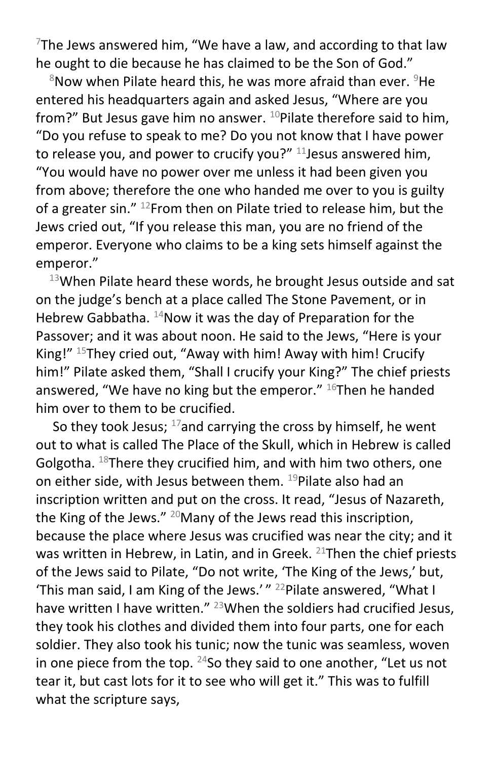$7$ The Jews answered him, "We have a law, and according to that law he ought to die because he has claimed to be the Son of God."

 $8$ Now when Pilate heard this, he was more afraid than ever.  $9$ He entered his headquarters again and asked Jesus, "Where are you from?" But Jesus gave him no answer.  $10P$  pilate therefore said to him, "Do you refuse to speak to me? Do you not know that I have power to release you, and power to crucify you?"  $11$  Jesus answered him, "You would have no power over me unless it had been given you from above; therefore the one who handed me over to you is guilty of a greater sin." <sup>12</sup> From then on Pilate tried to release him, but the Jews cried out, "If you release this man, you are no friend of the emperor. Everyone who claims to be a king sets himself against the emperor."

 $13$ When Pilate heard these words, he brought Jesus outside and sat on the judge's bench at a place called The Stone Pavement, or in Hebrew Gabbatha. <sup>14</sup>Now it was the day of Preparation for the Passover; and it was about noon. He said to the Jews, "Here is your King!" <sup>15</sup>They cried out, "Away with him! Away with him! Crucify him!" Pilate asked them, "Shall I crucify your King?" The chief priests answered, "We have no king but the emperor."  $16$ Then he handed him over to them to be crucified.

So they took Jesus;  $17$  and carrying the cross by himself, he went out to what is called The Place of the Skull, which in Hebrew is called Golgotha.  $^{18}$ There they crucified him, and with him two others, one on either side, with Jesus between them. <sup>19</sup>Pilate also had an inscription written and put on the cross. It read, "Jesus of Nazareth, the King of the Jews."  $^{20}$ Many of the Jews read this inscription, because the place where Jesus was crucified was near the city; and it was written in Hebrew, in Latin, and in Greek. <sup>21</sup>Then the chief priests of the Jews said to Pilate, "Do not write, 'The King of the Jews,' but, 'This man said, I am King of the Jews.'" <sup>22</sup>Pilate answered, "What I have written I have written." <sup>23</sup> When the soldiers had crucified Jesus, they took his clothes and divided them into four parts, one for each soldier. They also took his tunic; now the tunic was seamless, woven in one piece from the top.  $24$ So they said to one another, "Let us not tear it, but cast lots for it to see who will get it." This was to fulfill what the scripture says,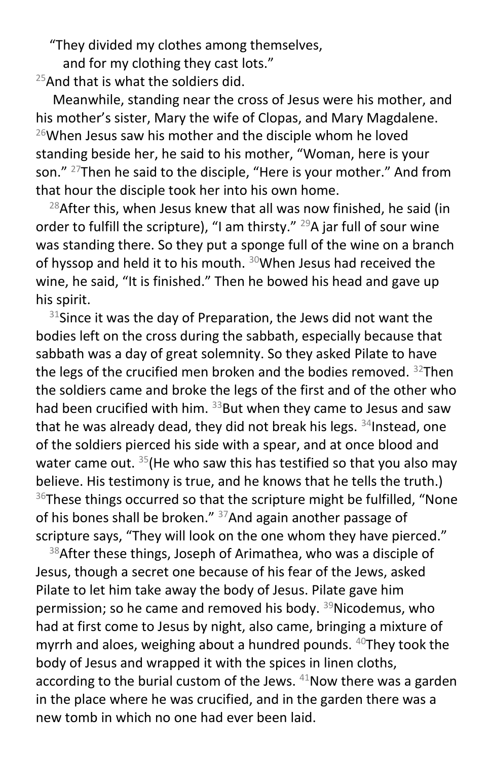"They divided my clothes among themselves,

and for my clothing they cast lots."

 $25$ And that is what the soldiers did.

Meanwhile, standing near the cross of Jesus were his mother, and his mother's sister, Mary the wife of Clopas, and Mary Magdalene.  $26$ When Jesus saw his mother and the disciple whom he loved standing beside her, he said to his mother, "Woman, here is your son." <sup>27</sup>Then he said to the disciple, "Here is your mother." And from that hour the disciple took her into his own home.

 $28$ After this, when Jesus knew that all was now finished, he said (in order to fulfill the scripture), "I am thirsty."  $^{29}A$  jar full of sour wine was standing there. So they put a sponge full of the wine on a branch of hyssop and held it to his mouth.  $30$ When Jesus had received the wine, he said, "It is finished." Then he bowed his head and gave up his spirit.

 $31$ Since it was the day of Preparation, the Jews did not want the bodies left on the cross during the sabbath, especially because that sabbath was a day of great solemnity. So they asked Pilate to have the legs of the crucified men broken and the bodies removed.  $32$ Then the soldiers came and broke the legs of the first and of the other who had been crucified with him.  $33$ But when they came to Jesus and saw that he was already dead, they did not break his legs.  $34$  Instead, one of the soldiers pierced his side with a spear, and at once blood and water came out.  $35$  (He who saw this has testified so that you also may believe. His testimony is true, and he knows that he tells the truth.)  $36$ These things occurred so that the scripture might be fulfilled, "None of his bones shall be broken."  $37$ And again another passage of scripture says, "They will look on the one whom they have pierced."

38 After these things, Joseph of Arimathea, who was a disciple of Jesus, though a secret one because of his fear of the Jews, asked Pilate to let him take away the body of Jesus. Pilate gave him permission; so he came and removed his body. <sup>39</sup>Nicodemus, who had at first come to Jesus by night, also came, bringing a mixture of myrrh and aloes, weighing about a hundred pounds. <sup>40</sup>They took the body of Jesus and wrapped it with the spices in linen cloths, according to the burial custom of the Jews.  $41$ Now there was a garden in the place where he was crucified, and in the garden there was a new tomb in which no one had ever been laid.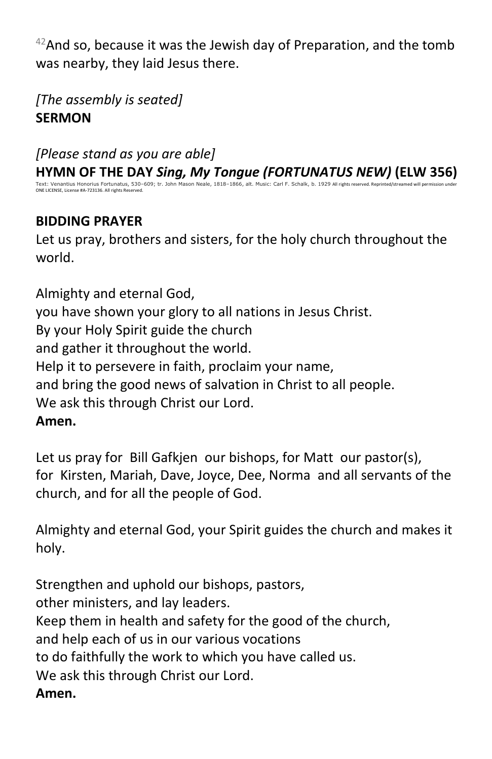$42$ And so, because it was the Jewish day of Preparation, and the tomb was nearby, they laid Jesus there.

*[The assembly is seated]*  **SERMON**

*[Please stand as you are able]* **HYMN OF THE DAY** *Sing, My Tongue (FORTUNATUS NEW)* **(ELW 356)** Text: Venantius Honorius Fortunatus, 530–609; tr. John Mason Neale, 1818–1866, alt. Music: Carl F. Schalk, b. 1929 All rights reserved. Reprinted/stre ONE LICENSE, License #A-723136. All rights Reserved.

## **BIDDING PRAYER**

Let us pray, brothers and sisters, for the holy church throughout the world.

Almighty and eternal God, you have shown your glory to all nations in Jesus Christ. By your Holy Spirit guide the church and gather it throughout the world. Help it to persevere in faith, proclaim your name, and bring the good news of salvation in Christ to all people. We ask this through Christ our Lord. **Amen.**

Let us pray for Bill Gafkjen our bishops, for Matt our pastor(s), for Kirsten, Mariah, Dave, Joyce, Dee, Norma and all servants of the church, and for all the people of God.

Almighty and eternal God, your Spirit guides the church and makes it holy.

Strengthen and uphold our bishops, pastors, other ministers, and lay leaders. Keep them in health and safety for the good of the church, and help each of us in our various vocations to do faithfully the work to which you have called us. We ask this through Christ our Lord. **Amen.**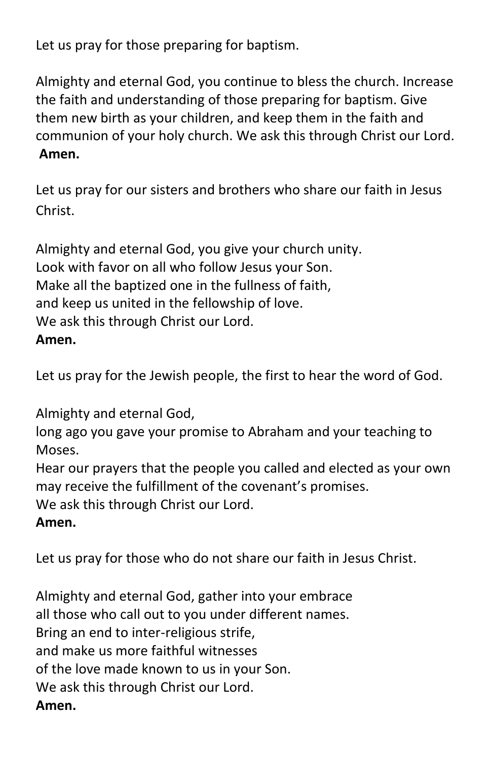Let us pray for those preparing for baptism.

Almighty and eternal God, you continue to bless the church. Increase the faith and understanding of those preparing for baptism. Give them new birth as your children, and keep them in the faith and communion of your holy church. We ask this through Christ our Lord. **Amen.**

Let us pray for our sisters and brothers who share our faith in Jesus Christ.

Almighty and eternal God, you give your church unity. Look with favor on all who follow Jesus your Son. Make all the baptized one in the fullness of faith, and keep us united in the fellowship of love. We ask this through Christ our Lord. **Amen.**

Let us pray for the Jewish people, the first to hear the word of God.

Almighty and eternal God,

long ago you gave your promise to Abraham and your teaching to Moses.

Hear our prayers that the people you called and elected as your own may receive the fulfillment of the covenant's promises.

We ask this through Christ our Lord.

**Amen.**

Let us pray for those who do not share our faith in Jesus Christ.

Almighty and eternal God, gather into your embrace all those who call out to you under different names. Bring an end to inter-religious strife, and make us more faithful witnesses of the love made known to us in your Son. We ask this through Christ our Lord. **Amen.**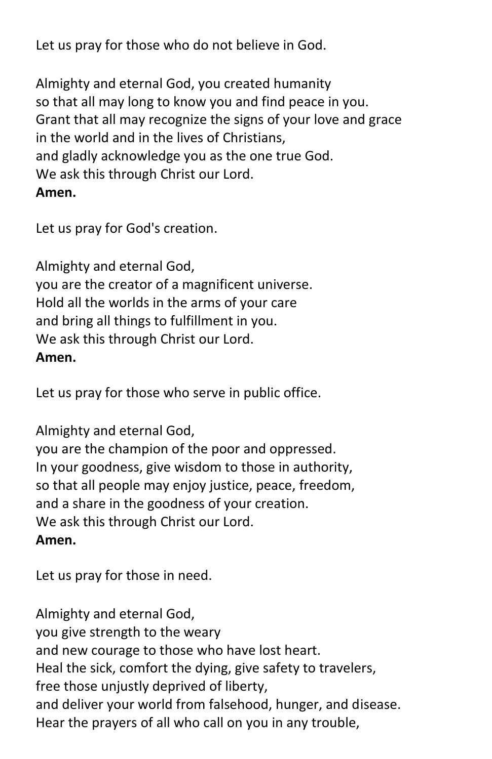Let us pray for those who do not believe in God.

Almighty and eternal God, you created humanity so that all may long to know you and find peace in you. Grant that all may recognize the signs of your love and grace in the world and in the lives of Christians, and gladly acknowledge you as the one true God. We ask this through Christ our Lord. **Amen.**

Let us pray for God's creation.

Almighty and eternal God, you are the creator of a magnificent universe. Hold all the worlds in the arms of your care and bring all things to fulfillment in you. We ask this through Christ our Lord. **Amen.**

Let us pray for those who serve in public office.

Almighty and eternal God,

you are the champion of the poor and oppressed. In your goodness, give wisdom to those in authority, so that all people may enjoy justice, peace, freedom, and a share in the goodness of your creation. We ask this through Christ our Lord. **Amen.**

Let us pray for those in need.

Almighty and eternal God, you give strength to the weary and new courage to those who have lost heart. Heal the sick, comfort the dying, give safety to travelers, free those unjustly deprived of liberty, and deliver your world from falsehood, hunger, and disease. Hear the prayers of all who call on you in any trouble,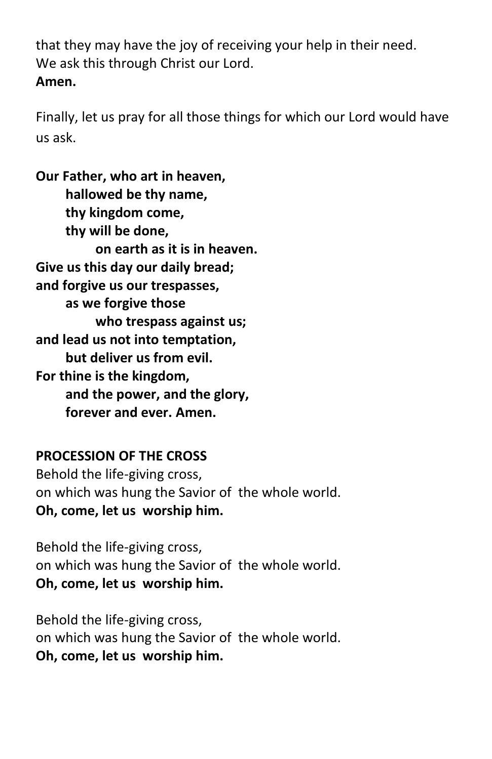that they may have the joy of receiving your help in their need. We ask this through Christ our Lord. **Amen.**

Finally, let us pray for all those things for which our Lord would have us ask.

**Our Father, who art in heaven, hallowed be thy name, thy kingdom come, thy will be done, on earth as it is in heaven. Give us this day our daily bread; and forgive us our trespasses, as we forgive those who trespass against us; and lead us not into temptation, but deliver us from evil. For thine is the kingdom, and the power, and the glory, forever and ever. Amen.**

### **PROCESSION OF THE CROSS**

Behold the life-giving cross, on which was hung the Savior of the whole world. **Oh, come, let us worship him.**

Behold the life-giving cross, on which was hung the Savior of the whole world. **Oh, come, let us worship him.**

Behold the life-giving cross, on which was hung the Savior of the whole world. **Oh, come, let us worship him.**